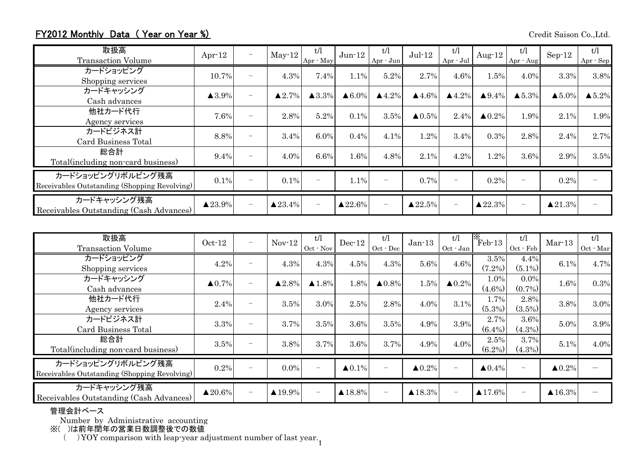## FY2012 Monthly Data (Year on Year %) Credit Saison Co.,Ltd.

| 取扱高<br><b>Transaction Volume</b>                                  | Apr-12                | -                        | $May-12$               | t/l<br>Apr - May      | $Jun-12$                | t/l<br>Apr - Jun         | $Jul-12$               | t/l<br>$Apr \cdot Jul$   | Aug- $12$          | t/l<br>Apr - Aug | $Sep-12$                | t/l<br>Apr - Sep       |
|-------------------------------------------------------------------|-----------------------|--------------------------|------------------------|-----------------------|-------------------------|--------------------------|------------------------|--------------------------|--------------------|------------------|-------------------------|------------------------|
| カードショッピング<br>Shopping services                                    | 10.7%                 | $\overline{\phantom{0}}$ | 4.3%                   | 7.4%                  | 1.1%                    | 5.2%                     | 2.7%                   | 4.6%                     | 1.5%               | 4.0%             | 3.3%                    | 3.8%                   |
| カードキャッシング<br>Cash advances                                        | $\blacktriangle$ 3.9% | $\overline{\phantom{0}}$ | $\blacktriangle 2.7\%$ | $\blacktriangle$ 3.3% | $\triangle 6.0\%$       | $\blacktriangle 4.2\%$   | $\blacktriangle$ 4.6%  | $\blacktriangle$ 4.2%    | $\triangle 9.4\%$  | $\triangle$ 5.3% | $\blacktriangle 5.0\%$  | $\blacktriangle 5.2\%$ |
| 他社カード代行<br>Agency services                                        | 7.6%                  | $\overline{\phantom{0}}$ | 2.8%                   | 5.2%                  | 0.1%                    | 3.5%                     | $\blacktriangle 0.5\%$ | 2.4%                     | $\triangle 0.2\%$  | 1.9%             | 2.1%                    | 1.9%                   |
| カードビジネス計<br>Card Business Total                                   | 8.8%                  | $\overline{\phantom{0}}$ | 3.4%                   | 6.0%                  | 0.4%                    | 4.1%                     | 1.2%                   | 3.4%                     | 0.3%               | 2.8%             | 2.4%                    | 2.7%                   |
| 総合計<br>Total (including non-card business)                        | 9.4%                  | $\overline{\phantom{0}}$ | 4.0%                   | 6.6%                  | 1.6%                    | 4.8%                     | 2.1%                   | 4.2%                     | 1.2%               | 3.6%             | 2.9%                    | 3.5%                   |
| カードショッピングリボルビング残高<br>Receivables Outstanding (Shopping Revolving) | 0.1%                  | $\overline{\phantom{0}}$ | 0.1%                   |                       | 1.1%                    | $\overline{\phantom{0}}$ | 0.7%                   | $\overline{\phantom{0}}$ | 0.2%               | -                | 0.2%                    |                        |
| カードキャッシング残高<br>Receivables Outstanding (Cash Advances)            | $\triangle 23.9\%$    | $\overline{\phantom{0}}$ | $\triangle 23.4\%$     |                       | $\blacktriangle 22.6\%$ | $\overline{\phantom{0}}$ | $\triangle 22.5\%$     | $\overline{\phantom{0}}$ | $\triangle 22.3\%$ |                  | $\blacktriangle 21.3\%$ |                        |

| 取扱高<br><b>Transaction Volume</b>                                  | $Oct-12$           | $\overline{\phantom{m}}$        | $Nov-12$               | t/l<br>Oct - Nov         | $Dec-12$               | t/l<br>$Oct - Dec$       | $Jan-13$               | t/l<br>Oct - Jan         | $\overline{\mathbb{F}_{\text{eb-13}}}$ | t/l<br>Oct - Feb         | $Mar-13$                | t/l<br>Oct - Mar |
|-------------------------------------------------------------------|--------------------|---------------------------------|------------------------|--------------------------|------------------------|--------------------------|------------------------|--------------------------|----------------------------------------|--------------------------|-------------------------|------------------|
| カードショッピング<br>Shopping services                                    | 4.2%               |                                 | 4.3%                   | 4.3%                     | 4.5%                   | 4.3%                     | 5.6%                   | 4.6%                     | 3.5%<br>$(7.2\%)$                      | 4.4%<br>$(5.1\%)$        | 6.1%                    | 4.7%             |
| カードキャッシング<br>Cash advances                                        | $\triangle 0.7\%$  | $\overline{\phantom{m}}$        | $\blacktriangle 2.8\%$ | $\blacktriangle$ 1.8%    | 1.8%                   | $\triangle 0.8\%$        | 1.5%                   | $\blacktriangle 0.2\%$   | 1.0%<br>$(4.6\%)$                      | $0.0\%$<br>$(0.7\%)$     | 1.6%                    | 0.3%             |
| 他社カード代行<br>Agency services                                        | 2.4%               | $\overline{\phantom{0}}$        | 3.5%                   | 3.0%                     | 2.5%                   | 2.8%                     | 4.0%                   | 3.1%                     | 1.7%<br>$(5.3\%)$                      | 2.8%<br>$(3.5\%)$        | 3.8%                    | 3.0%             |
| カードビジネス計<br>Card Business Total                                   | 3.3%               |                                 | 3.7%                   | 3.5%                     | 3.6%                   | 3.5%                     | 4.9%                   | 3.9%                     | 2.7%<br>$(6.4\%)$                      | 3.6%<br>$(4.3\%)$        | 5.0%                    | 3.9%             |
| 総合計<br>Total (including non-card business)                        | 3.5%               | $\overline{\phantom{m}}$        | 3.8%                   | 3.7%                     | 3.6%                   | 3.7%                     | 4.9%                   | 4.0%                     | 2.5%<br>$(6.2\%)$                      | 3.7%<br>$(4.3\%)$        | 5.1%                    | 4.0%             |
| カードショッピングリボルビング残高<br>Receivables Outstanding (Shopping Revolving) | 0.2%               |                                 | $0.0\%$                |                          | $\blacktriangle 0.1\%$ | $\overline{\phantom{a}}$ | $\blacktriangle 0.2\%$ |                          | $\triangle 0.4\%$                      |                          | $\blacktriangle 0.2\%$  |                  |
| カードキャッシング残高<br>Receivables Outstanding (Cash Advances)            | $\triangle 20.6\%$ | $\overbrace{\phantom{1232211}}$ | $\triangle 19.9\%$     | $\overline{\phantom{0}}$ | $\blacktriangle$ 18.8% | $\overline{\phantom{m}}$ | $\blacktriangle$ 18.3% | $\overline{\phantom{m}}$ | $\triangle 17.6\%$                     | $\overline{\phantom{0}}$ | $\blacktriangle 16.3\%$ |                  |

## 管理会計ベース

Number by Administrative accounting

※( )は前年閏年の営業日数調整後での数値

(C) YOY comparison with leap-year adjustment number of last year.